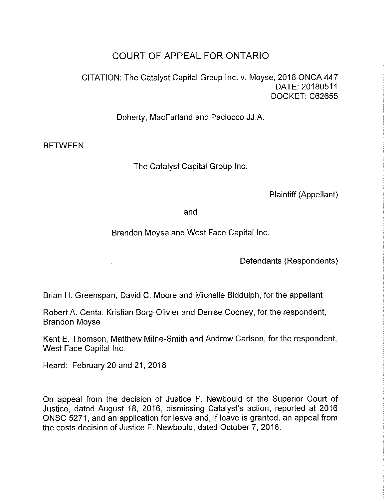## COURT OF APPEAL FOR ONTARIO

CITATION: The Catalyst Capital Group Inc. v. Moyse, 2018 ONCA447 DATE: 20180511 DOCKET: C62655

Doherty, MacFarland and Paciocco JJ.A.

BETWEEN

The Catalyst Capital Group Inc.

Plaintiff (Appellant)

and

Brandon Moyse and West Face Capital Inc.

Defendants (Respondents)

Brian H. Greenspan, David C. Moore and Michelle Biddulph, for the appellant

Robert A. Centa, Kristian Borg-Olivier and Denise Cooney, for the respondent, Brandon Moyse

Kent E. Thomson, Matthew Milne-Smith and Andrew Carlson, for the respondent, West Face Capital Inc.

Heard: February 20 and 21, 2018

 $\mathcal{L}^{\pm}$ 

On appeal from the decision of Justice F. Newbould of the Superior Court of Justice, dated August 18, 2016, dismissing Catalyst's action, reported at 2016 ONSC 5271, and an application for leave and, if leave is granted, an appeal from the costs decision of Justice F. Newbould, dated October?, 2016.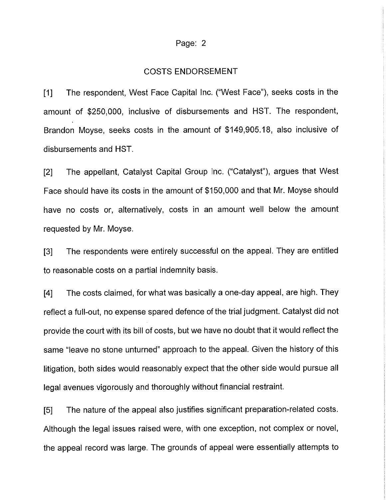## Page: 2

## COSTS ENDORSEMENT

[1] The respondent, West Face Capital Inc. ("West Face"), seeks costs in the amount of \$250,000, inclusive of disbursements and HST. The respondent, Brandon Moyse, seeks costs in the amount of \$149,905.18, also inclusive of disbursements and HST.

[2] The appellant, Catalyst Capital Group Inc. ("Catalyst"), argues that West Face should have its costs in the amount of \$150,000 and that Mr. Moyse should have no costs or, alternatively, costs in an amount well below the amount requested by Mr. Moyse.

[3] The respondents were entirely successful on the appeal. They are entitled to reasonable costs on a partial indemnity basis.

[4] The costs claimed, for what was basically a one-day appeal, are high. They reflect a full-out, no expense spared defence of the trial judgment. Catalyst did not provide the court with its bill of costs, but we have no doubt that it would reflect the same "leave no stone unturned" approach to the appeal. Given the history of this litigation, both sides would reasonably expect that the other side would pursue all legal avenues vigorously and thoroughly without financial restraint.

[5] The nature of the appeal also justifies significant preparation-related costs. Although the legal issues raised were, with one exception, not complex or novel, the appeal record was large. The grounds of appeal were essentially attempts to